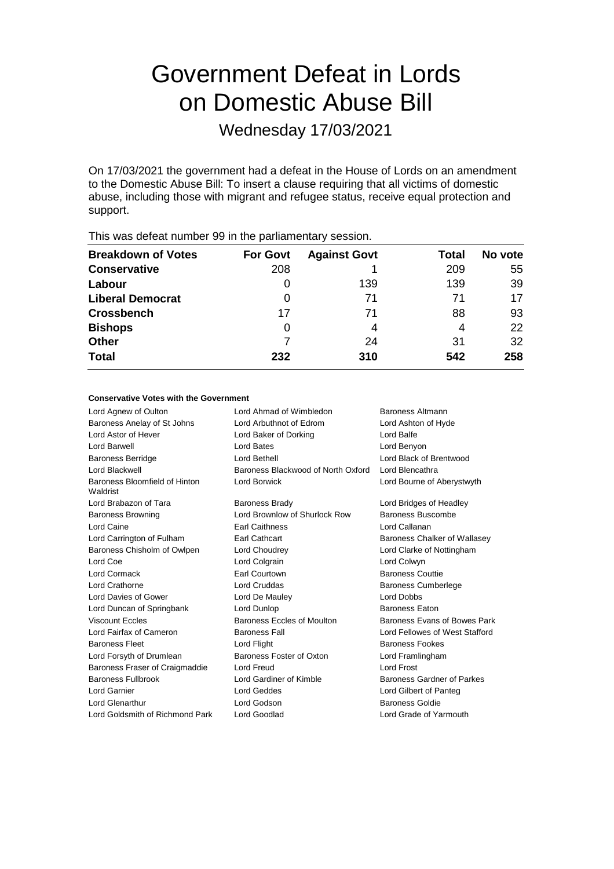# Government Defeat in Lords on Domestic Abuse Bill

Wednesday 17/03/2021

On 17/03/2021 the government had a defeat in the House of Lords on an amendment to the Domestic Abuse Bill: To insert a clause requiring that all victims of domestic abuse, including those with migrant and refugee status, receive equal protection and support.

| <b>Breakdown of Votes</b> | <b>For Govt</b> | <b>Against Govt</b> | Total | No vote |  |
|---------------------------|-----------------|---------------------|-------|---------|--|
| <b>Conservative</b>       | 208             |                     | 209   | 55      |  |
| Labour                    | $\Omega$        | 139                 | 139   | 39      |  |
| <b>Liberal Democrat</b>   | 0               | 71                  | 71    | 17      |  |
| <b>Crossbench</b>         | 17              | 71                  | 88    | 93      |  |
| <b>Bishops</b>            | 0               | 4                   | 4     | 22      |  |
| <b>Other</b>              |                 | 24                  | 31    | 32      |  |
| <b>Total</b>              | 232             | 310                 | 542   | 258     |  |
|                           |                 |                     |       |         |  |

This was defeat number 99 in the parliamentary session.

### **Conservative Votes with the Government**

| Lord Agnew of Oulton                      | Lord Ahmad of Wimbledon            | Baroness Altmann               |
|-------------------------------------------|------------------------------------|--------------------------------|
| Baroness Anelay of St Johns               | Lord Arbuthnot of Edrom            | Lord Ashton of Hyde            |
| Lord Astor of Hever                       | Lord Baker of Dorking              | Lord Balfe                     |
| Lord Barwell                              | Lord Bates                         | Lord Benyon                    |
| <b>Baroness Berridge</b>                  | Lord Bethell                       | Lord Black of Brentwood        |
| Lord Blackwell                            | Baroness Blackwood of North Oxford | Lord Blencathra                |
| Baroness Bloomfield of Hinton<br>Waldrist | Lord Borwick                       | Lord Bourne of Aberystwyth     |
| Lord Brabazon of Tara                     | <b>Baroness Brady</b>              | Lord Bridges of Headley        |
| <b>Baroness Browning</b>                  | Lord Brownlow of Shurlock Row      | Baroness Buscombe              |
| Lord Caine                                | <b>Earl Caithness</b>              | Lord Callanan                  |
| Lord Carrington of Fulham                 | <b>Earl Cathcart</b>               | Baroness Chalker of Wallasey   |
| Baroness Chisholm of Owlpen               | Lord Choudrey                      | Lord Clarke of Nottingham      |
| Lord Coe                                  | Lord Colgrain                      | Lord Colwyn                    |
| Lord Cormack                              | <b>Farl Courtown</b>               | <b>Baroness Couttie</b>        |
| Lord Crathorne                            | Lord Cruddas                       | <b>Baroness Cumberlege</b>     |
| Lord Davies of Gower                      | Lord De Mauley                     | <b>Lord Dobbs</b>              |
| Lord Duncan of Springbank                 | Lord Dunlop                        | <b>Baroness Eaton</b>          |
| <b>Viscount Eccles</b>                    | Baroness Eccles of Moulton         | Baroness Evans of Bowes Park   |
| Lord Fairfax of Cameron                   | <b>Baroness Fall</b>               | Lord Fellowes of West Stafford |
| <b>Baroness Fleet</b>                     | Lord Flight                        | <b>Baroness Fookes</b>         |
| Lord Forsyth of Drumlean                  | Baroness Foster of Oxton           | Lord Framlingham               |
| Baroness Fraser of Craigmaddie            | Lord Freud                         | <b>Lord Frost</b>              |
| <b>Baroness Fullbrook</b>                 | Lord Gardiner of Kimble            | Baroness Gardner of Parkes     |
| Lord Garnier                              | Lord Geddes                        | Lord Gilbert of Panteg         |
| Lord Glenarthur                           | Lord Godson                        | <b>Baroness Goldie</b>         |
| Lord Goldsmith of Richmond Park           | Lord Goodlad                       | Lord Grade of Yarmouth         |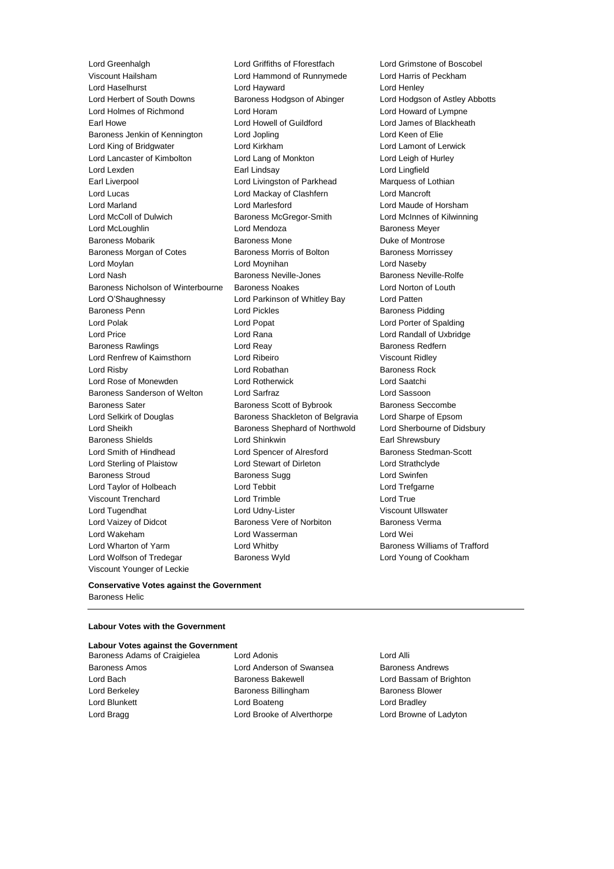Lord Greenhalgh Lord Griffiths of Fforestfach Lord Grimstone of Boscobel Viscount Hailsham Lord Hammond of Runnymede Lord Harris of Peckham Lord Haselhurst Lord Hayward Lord Henley Lord Herbert of South Downs Baroness Hodgson of Abinger Lord Hodgson of Astley Abbotts Lord Holmes of Richmond Lord Horam Lord Howard of Lympne Earl Howe Lord Howell of Guildford Lord James of Blackheath Baroness Jenkin of Kennington Lord Jopling Lord Keen of Elie Lord King of Bridgwater Lord Kirkham Lord Lamont of Lerwick Lord Lancaster of Kimbolton Lord Lang of Monkton Lord Leigh of Hurley Lord Lexden Earl Lindsay Lord Lingfield Earl Liverpool Lord Livingston of Parkhead Marquess of Lothian Lord Lucas Lord Mackay of Clashfern Lord Mancroft Lord Marland Lord Marlesford Lord Maude of Horsham Lord McColl of Dulwich Baroness McGregor-Smith Lord McInnes of Kilwinning Lord McLoughlin Lord Mendoza Baroness Meyer Baroness Mobarik **Baroness Mone** Baroness Mone Duke of Montrose Baroness Morgan of Cotes **Baroness Morris of Bolton** Baroness Morrissey Lord Moylan Lord Moynihan Lord Naseby Lord Nash **Baroness Neville-Jones** Baroness Neville-Rolfe Baroness Nicholson of Winterbourne Baroness Noakes Lord Norton of Louth Lord O'Shaughnessy Lord Parkinson of Whitley Bay Lord Patten Baroness Penn **Example 2** Lord Pickles **Baroness Pidding** Baroness Pidding Lord Polak Lord Popat Lord Porter of Spalding Lord Price Lord Rana Lord Randall of Uxbridge Baroness Rawlings **Baroness Realists** Lord Reay **Baroness Redfern** Lord Renfrew of Kaimsthorn Lord Ribeiro Viscount Ridley Lord Risby **Lord Robathan** Baroness Rock Lord Rose of Monewden Lord Rotherwick Lord Saatchi Baroness Sanderson of Welton Lord Sarfraz Lord Sassoon Baroness Sater **Baroness Scott of Bybrook** Baroness Seccombe Lord Selkirk of Douglas Baroness Shackleton of Belgravia Lord Sharpe of Epsom Lord Sheikh **Baroness Shephard of Northwold** Lord Sherbourne of Didsbury Baroness Shields **Lord Shinkwin** Earl Shrewsbury Lord Smith of Hindhead Lord Spencer of Alresford Baroness Stedman-Scott Lord Sterling of Plaistow Lord Stewart of Dirleton Lord Strathclyde Baroness Stroud Baroness Sugg Lord Swinfen Lord Taylor of Holbeach Lord Tebbit Lord Trefgarne Viscount Trenchard Lord Trimble Lord True Lord Tugendhat Lord Udny-Lister Viscount Ullswater Lord Vaizey of Didcot **Baroness Vere of Norbiton** Baroness Verma Lord Wakeham Lord Wasserman Lord Wei Lord Wharton of Yarm Lord Whitby Baroness Williams of Trafford Lord Wolfson of Tredegar Baroness Wyld Lord Young of Cookham Viscount Younger of Leckie

### **Conservative Votes against the Government** Baroness Helic

### **Labour Votes with the Government**

**Labour Votes against the Government** Baroness Adams of Craigielea Lord Adonis Lord Alli Baroness Amos Lord Anderson of Swansea Baroness Andrews Lord Bach Baroness Bakewell Lord Bassam of Brighton Lord Berkeley **Baroness Billingham** Baroness Billingham Baroness Blower Lord Blunkett **Lord Boateng** Lord Boateng **Lord Bradley** Lord Bragg **Lord Brooke of Alverthorpe** Lord Browne of Ladyton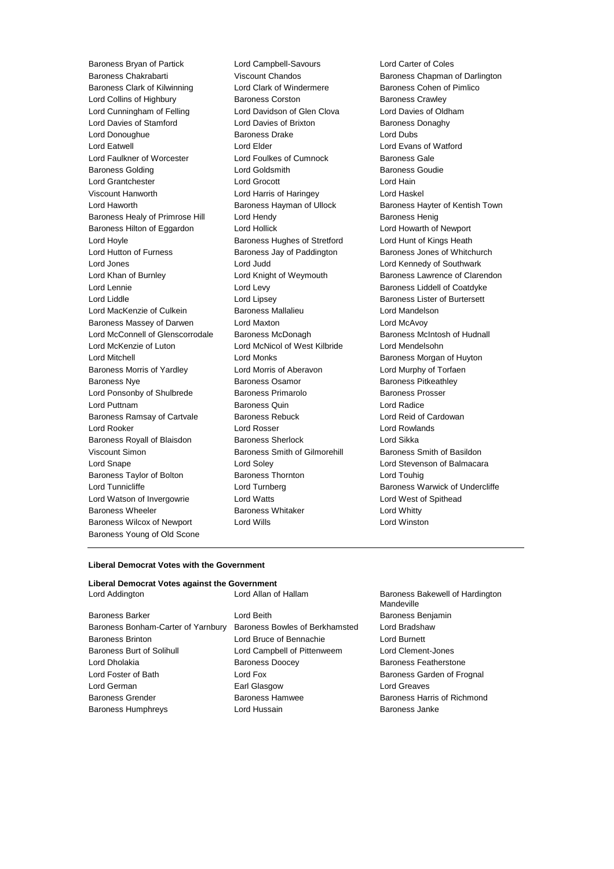Baroness Bryan of Partick Lord Campbell-Savours Lord Carter of Coles Baroness Chakrabarti **Viscount Chandos** Baroness Chapman of Darlington<br>Baroness Clark of Kilwinning Lord Clark of Windermere Baroness Cohen of Pimlico Baroness Clark of Kilwinning **Lord Clark of Windermere** Baroness Cohen of Pimlico Lord Collins of Highbury **Baroness Corston** Baroness Corston Baroness Crawley Lord Cunningham of Felling Lord Davidson of Glen Clova Lord Davies of Oldham Lord Davies of Stamford **Lord Davies of Brixton** Baroness Donaghy Lord Donoughue **Baroness Drake** Lord Dubs Lord Eatwell Lord Elder Lord Evans of Watford Lord Faulkner of Worcester Lord Foulkes of Cumnock Baroness Gale<br>
Baroness Golding Cord Coldsmith Cumnock Baroness Goudie Baroness Golding **Lord Goldsmith** Lord Grantchester Lord Grocott Lord Hain Viscount Hanworth Lord Harris of Haringey Lord Haskel Lord Haworth **Baroness Hayman of Ullock** Baroness Hayter of Kentish Town Baroness Healy of Primrose Hill Lord Hendy **Baroness Henig** Baroness Henig Baroness Hilton of Eggardon Lord Hollick Lord Howarth of Newport Lord Hoyle **Baroness Hughes of Stretford** Lord Hunt of Kings Heath Lord Hunt of Kings Heath Lord Hutton of Furness **Baroness Jay of Paddington** Baroness Jones of Whitchurch Lord Jones Lord Judd Lord Kennedy of Southwark Lord Khan of Burnley **Lord Knight of Weymouth Baroness Lawrence of Clarendon** Lord Lennie **Lord Levy** Lord Levy **Baroness Liddell of Coatdyke** Lord Liddle Lord Lipsey Baroness Lister of Burtersett Lord MacKenzie of Culkein **Baroness Mallalieu** Lord Mandelson Baroness Massey of Darwen Lord Maxton<br>
Lord McConnell of Glenscorrodale Baroness McDonagh Cord McConness McIntosh of Hudnall Lord McConnell of Glenscorrodale Baroness McDonagh Lord McKenzie of Luton Lord McNicol of West Kilbride Lord Mendelsohn Lord Mitchell Lord Monks Baroness Morgan of Huyton Baroness Morris of Yardley Lord Morris of Aberavon Lord Murphy of Torfaen Baroness Nye **Baroness Osamor** Baroness Osamor **Baroness Pitkeathley** Lord Ponsonby of Shulbrede Baroness Primarolo Baroness Prosser Lord Puttnam Baroness Quin Lord Radice Baroness Ramsay of Cartvale Baroness Rebuck Lord Reid of Cardowan Lord Rooker Lord Rosser Lord Rowlands Baroness Royall of Blaisdon Baroness Sherlock Lord Sikka Viscount Simon **Baroness Smith of Gilmorehill** Baroness Smith of Basildon Lord Snape Lord Soley Lord Stevenson of Balmacara Baroness Taylor of Bolton Baroness Thornton Lord Touhig Lord Tunnicliffe **Lord Turnberg** Lord Turnberg **Baroness Warwick of Undercliffe** Lord Watson of Invergowrie **Lord Watts** Lord West of Spithead Baroness Wheeler **Baroness Whitaker** Lord Whitty Baroness Wilcox of Newport Lord Wills Lord Winston Baroness Young of Old Scone

#### **Liberal Democrat Votes with the Government**

# **Liberal Democrat Votes against the Government**<br>Lord Addington Lord Allan of Hallam

| Lord Addington                     | Lord Allan of Hallam           | <b>Baroness Bakewell of Harding</b><br>Mandeville |
|------------------------------------|--------------------------------|---------------------------------------------------|
| Baroness Barker                    | Lord Beith                     | Baroness Benjamin                                 |
| Baroness Bonham-Carter of Yarnbury | Baroness Bowles of Berkhamsted | Lord Bradshaw                                     |
| Baroness Brinton                   | Lord Bruce of Bennachie        | Lord Burnett                                      |
| Baroness Burt of Solihull          | Lord Campbell of Pittenweem    | Lord Clement-Jones                                |
| Lord Dholakia                      | <b>Baroness Doocey</b>         | <b>Baroness Featherstone</b>                      |
| Lord Foster of Bath                | Lord Fox                       | Baroness Garden of Frognal                        |
| Lord German                        | Earl Glasgow                   | <b>Lord Greaves</b>                               |
| Baroness Grender                   | <b>Baroness Hamwee</b>         | Baroness Harris of Richmond                       |
| Baroness Humphreys                 | Lord Hussain                   | Baroness Janke                                    |
|                                    |                                |                                                   |

Baroness Bakewell of Hardington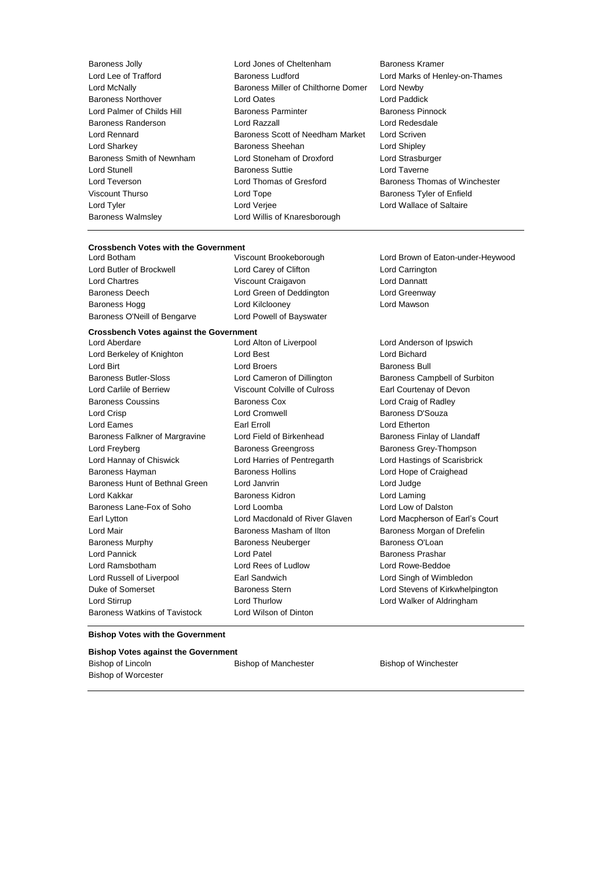Baroness Walmsley **Lord Willis of Knaresborough** 

- Baroness Jolly Lord Jones of Cheltenham Baroness Kramer Lord Lee of Trafford **Baroness Ludford** Lord Marks of Henley-on-Thames Lord McNally Baroness Miller of Chilthorne Domer Lord Newby Baroness Northover Lord Oates Lord Paddick Lord Palmer of Childs Hill Baroness Parminter Baroness Pinnock Baroness Randerson Lord Razzall Lord Redesdale Lord Rennard Baroness Scott of Needham Market Lord Scriven Lord Sharkey Baroness Sheehan Lord Shipley Baroness Smith of Newnham Lord Stoneham of Droxford Lord Strasburger Lord Stunell **Baroness Suttie Lord Taverne** Lord Teverson **Lord Thomas of Gresford** Baroness Thomas of Winchester Viscount Thurso Lord Tope Baroness Tyler of Enfield Lord Tyler Lord Verjee Lord Wallace of Saltaire
	-

# **Crossbench Votes with the Government**

Lord Butler of Brockwell Lord Carey of Clifton Lord Carrington Lord Chartres Viscount Craigavon Lord Dannatt Baroness Deech Lord Green of Deddington Lord Greenway Baroness Hogg Lord Kilclooney Lord Mawson Baroness O'Neill of Bengarve Lord Powell of Bayswater

# **Crossbench Votes against the Government**

Lord Berkeley of Knighton **Lord Best** Lord Bichard Lord Bichard Lord Birt Lord Broers Baroness Bull Baroness Butler-Sloss Lord Cameron of Dillington Baroness Campbell of Surbiton Lord Carlile of Berriew Viscount Colville of Culross Earl Courtenay of Devon Baroness Coussins **Baroness Cox Baroness Cox Lord Craig of Radley** Lord Crisp **Lord Cromwell Lord Cromwell Baroness D'Souza** Lord Eames **Earl Erroll** Earl Erroll **Example 20** Earl Erroll **Lord Etherton** Baroness Falkner of Margravine Lord Field of Birkenhead Baroness Finlay of Llandaff Lord Freyberg Baroness Greengross Baroness Grey-Thompson Lord Hannay of Chiswick Lord Harries of Pentregarth Lord Hastings of Scarisbrick Baroness Hayman **Baroness Hollins** Baroness Hollins **Lord Hope of Craighead** Baroness Hunt of Bethnal Green Lord Janvrin Lord Judge Lord Kakkar Baroness Kidron Lord Laming Baroness Lane-Fox of Soho Lord Loomba Lord Low of Dalston Earl Lytton Lord Macdonald of River Glaven Lord Macpherson of Earl's Court Lord Mair **Baroness Masham of Ilton** Baroness Morgan of Drefelin Baroness Murphy **Baroness Neuberger** Baroness O'Loan Lord Pannick Lord Patel Baroness Prashar Lord Ramsbotham Lord Rees of Ludlow Lord Rowe-Beddoe Lord Russell of Liverpool Earl Sandwich Lord Singh of Wimbledon Duke of Somerset Baroness Stern Lord Stevens of Kirkwhelpington Lord Stirrup Lord Thurlow Lord Walker of Aldringham Baroness Watkins of Tavistock Lord Wilson of Dinton

Lord Brown of Eaton-under-Heywood

Lord Anderson of Ipswich

#### **Bishop Votes with the Government**

#### **Bishop Votes against the Government**

Bishop of Worcester

Bishop of Lincoln Bishop of Manchester Bishop of Winchester